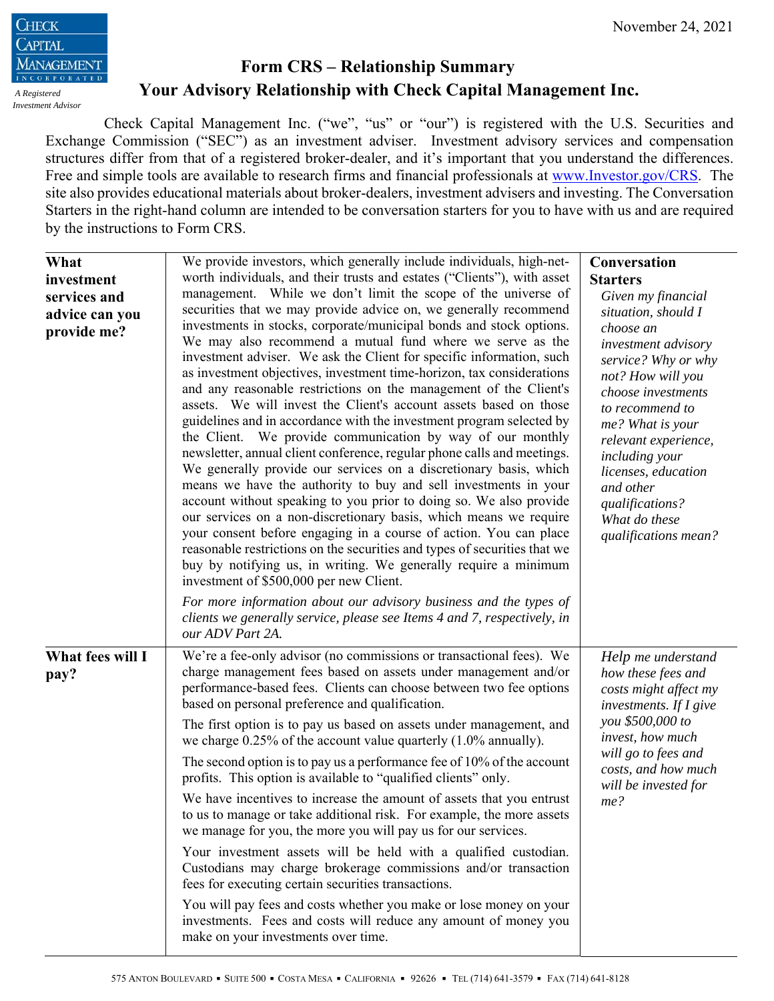

## **Form CRS – Relationship Summary Your Advisory Relationship with Check Capital Management Inc.**

Check Capital Management Inc. ("we", "us" or "our") is registered with the U.S. Securities and Exchange Commission ("SEC") as an investment adviser. Investment advisory services and compensation structures differ from that of a registered broker-dealer, and it's important that you understand the differences. Free and simple tools are available to research firms and financial professionals at www.Investor.gov/CRS. The site also provides educational materials about broker-dealers, investment advisers and investing. The Conversation Starters in the right-hand column are intended to be conversation starters for you to have with us and are required by the instructions to Form CRS.

| What<br>investment<br>services and<br>advice can you<br>provide me? | We provide investors, which generally include individuals, high-net-<br>worth individuals, and their trusts and estates ("Clients"), with asset<br>management. While we don't limit the scope of the universe of<br>securities that we may provide advice on, we generally recommend<br>investments in stocks, corporate/municipal bonds and stock options.<br>We may also recommend a mutual fund where we serve as the<br>investment adviser. We ask the Client for specific information, such<br>as investment objectives, investment time-horizon, tax considerations<br>and any reasonable restrictions on the management of the Client's<br>assets. We will invest the Client's account assets based on those<br>guidelines and in accordance with the investment program selected by<br>the Client. We provide communication by way of our monthly<br>newsletter, annual client conference, regular phone calls and meetings.<br>We generally provide our services on a discretionary basis, which<br>means we have the authority to buy and sell investments in your<br>account without speaking to you prior to doing so. We also provide<br>our services on a non-discretionary basis, which means we require<br>your consent before engaging in a course of action. You can place<br>reasonable restrictions on the securities and types of securities that we<br>buy by notifying us, in writing. We generally require a minimum<br>investment of \$500,000 per new Client.<br>For more information about our advisory business and the types of | Conversation<br><b>Starters</b><br>Given my financial<br>situation, should I<br>choose an<br>investment advisory<br>service? Why or why<br>not? How will you<br>choose investments<br>to recommend to<br>me? What is your<br>relevant experience,<br>including your<br>licenses, education<br>and other<br>qualifications?<br>What do these<br>qualifications mean? |
|---------------------------------------------------------------------|--------------------------------------------------------------------------------------------------------------------------------------------------------------------------------------------------------------------------------------------------------------------------------------------------------------------------------------------------------------------------------------------------------------------------------------------------------------------------------------------------------------------------------------------------------------------------------------------------------------------------------------------------------------------------------------------------------------------------------------------------------------------------------------------------------------------------------------------------------------------------------------------------------------------------------------------------------------------------------------------------------------------------------------------------------------------------------------------------------------------------------------------------------------------------------------------------------------------------------------------------------------------------------------------------------------------------------------------------------------------------------------------------------------------------------------------------------------------------------------------------------------------------------------------------------------|---------------------------------------------------------------------------------------------------------------------------------------------------------------------------------------------------------------------------------------------------------------------------------------------------------------------------------------------------------------------|
| What fees will I<br>pay?                                            | clients we generally service, please see Items 4 and 7, respectively, in<br>our ADV Part 2A.<br>We're a fee-only advisor (no commissions or transactional fees). We<br>charge management fees based on assets under management and/or<br>performance-based fees. Clients can choose between two fee options<br>based on personal preference and qualification.<br>The first option is to pay us based on assets under management, and<br>we charge $0.25\%$ of the account value quarterly $(1.0\%$ annually).<br>The second option is to pay us a performance fee of 10% of the account<br>profits. This option is available to "qualified clients" only.<br>We have incentives to increase the amount of assets that you entrust<br>to us to manage or take additional risk. For example, the more assets<br>we manage for you, the more you will pay us for our services.<br>Your investment assets will be held with a qualified custodian.<br>Custodians may charge brokerage commissions and/or transaction<br>fees for executing certain securities transactions.<br>You will pay fees and costs whether you make or lose money on your<br>investments. Fees and costs will reduce any amount of money you<br>make on your investments over time.                                                                                                                                                                                                                                                                                                     | Help me understand<br>how these fees and<br>costs might affect my<br>investments. If $I$ give<br>you \$500,000 to<br>invest, how much<br>will go to fees and<br>costs, and how much<br>will be invested for<br>me?                                                                                                                                                  |